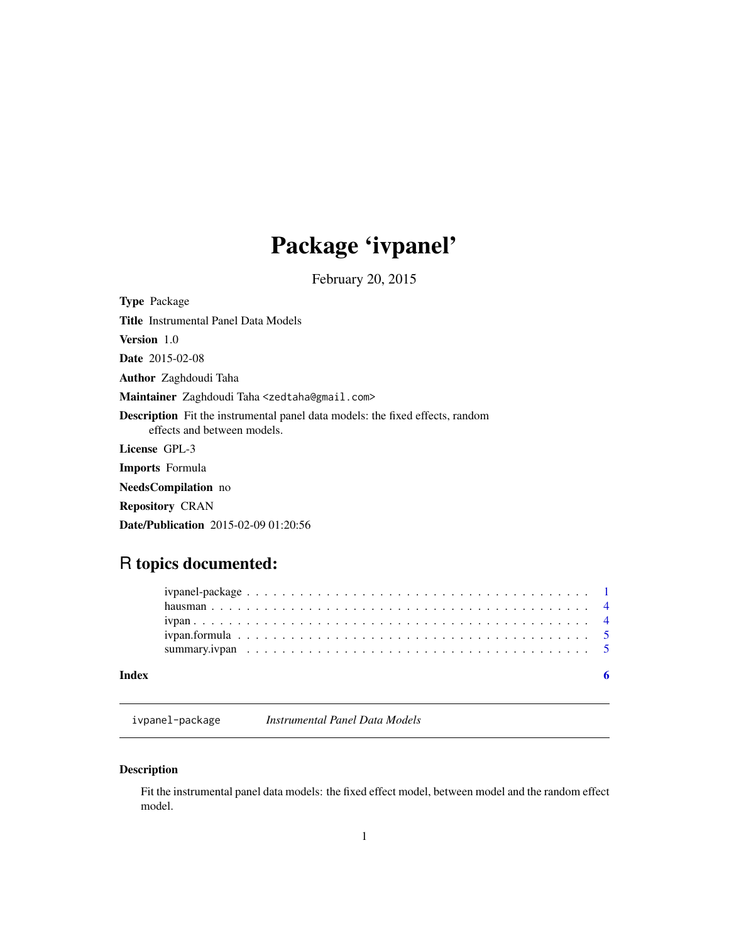## Package 'ivpanel'

February 20, 2015

<span id="page-0-0"></span>

| <b>Type Package</b>                                                                                                 |
|---------------------------------------------------------------------------------------------------------------------|
| <b>Title</b> Instrumental Panel Data Models                                                                         |
| <b>Version</b> 1.0                                                                                                  |
| <b>Date</b> 2015-02-08                                                                                              |
| <b>Author</b> Zaghdoudi Taha                                                                                        |
| Maintainer Zaghdoudi Taha <zedtaha@gmail.com></zedtaha@gmail.com>                                                   |
| <b>Description</b> Fit the instrumental panel data models: the fixed effects, random<br>effects and between models. |
| License GPL-3                                                                                                       |
| <b>Imports</b> Formula                                                                                              |
| <b>NeedsCompilation</b> no                                                                                          |
| <b>Repository CRAN</b>                                                                                              |

Date/Publication 2015-02-09 01:20:56

### R topics documented:

| Index |  |  |  |  |  |  |  |  |  |  |  |  |  |  |  |  |  |  |  |  |  |
|-------|--|--|--|--|--|--|--|--|--|--|--|--|--|--|--|--|--|--|--|--|--|

ivpanel-package *Instrumental Panel Data Models*

### Description

Fit the instrumental panel data models: the fixed effect model, between model and the random effect model.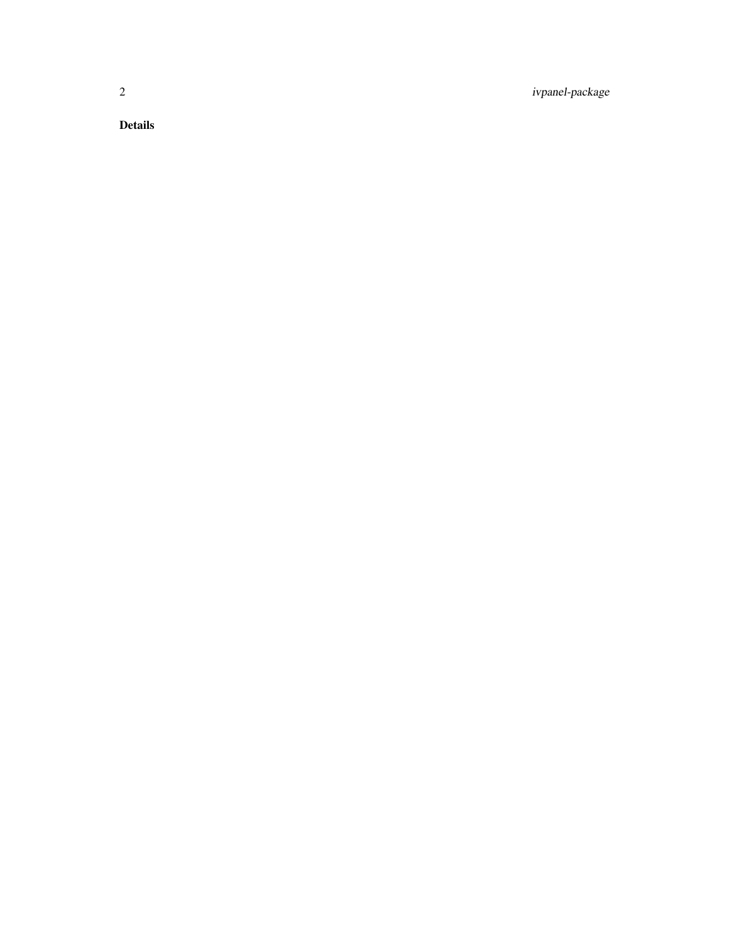2 ivpanel-package

Details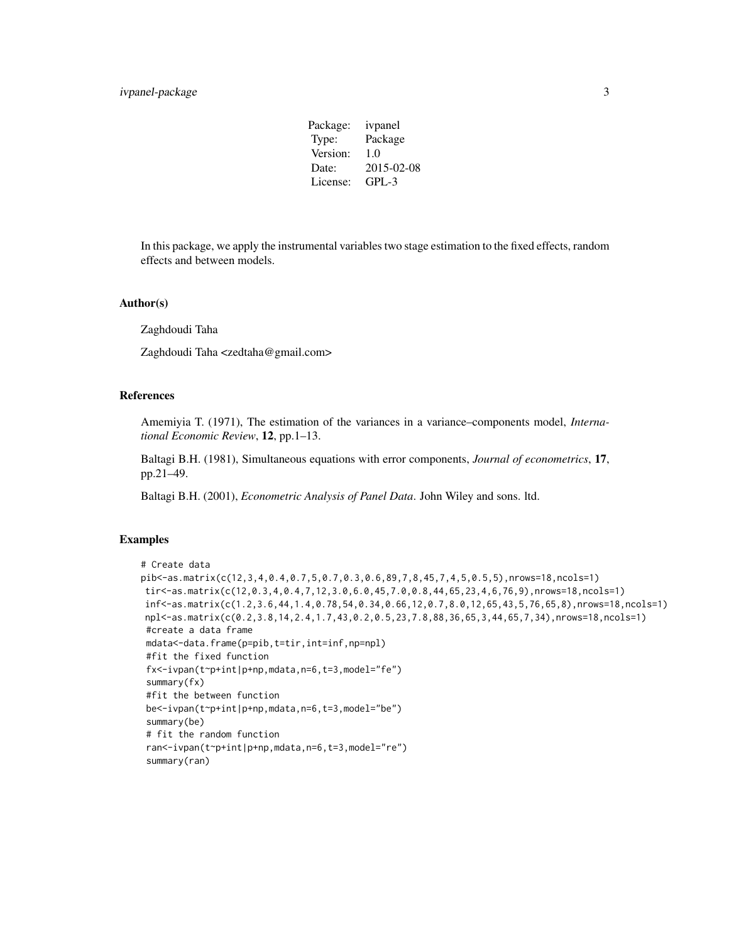#### ivpanel-package 3

| ivpanel    |
|------------|
| Package    |
| 1.0        |
| 2015-02-08 |
| $GPL-3$    |
|            |

In this package, we apply the instrumental variables two stage estimation to the fixed effects, random effects and between models.

#### Author(s)

Zaghdoudi Taha

Zaghdoudi Taha <zedtaha@gmail.com>

#### References

Amemiyia T. (1971), The estimation of the variances in a variance–components model, *International Economic Review*, 12, pp.1–13.

Baltagi B.H. (1981), Simultaneous equations with error components, *Journal of econometrics*, 17, pp.21–49.

Baltagi B.H. (2001), *Econometric Analysis of Panel Data*. John Wiley and sons. ltd.

#### Examples

```
# Create data
pib<-as.matrix(c(12,3,4,0.4,0.7,5,0.7,0.3,0.6,89,7,8,45,7,4,5,0.5,5),nrows=18,ncols=1)
tir<-as.matrix(c(12,0.3,4,0.4,7,12,3.0,6.0,45,7.0,0.8,44,65,23,4,6,76,9),nrows=18,ncols=1)
inf<-as.matrix(c(1.2,3.6,44,1.4,0.78,54,0.34,0.66,12,0.7,8.0,12,65,43,5,76,65,8),nrows=18,ncols=1)
npl<-as.matrix(c(0.2,3.8,14,2.4,1.7,43,0.2,0.5,23,7.8,88,36,65,3,44,65,7,34),nrows=18,ncols=1)
#create a data frame
mdata<-data.frame(p=pib,t=tir,int=inf,np=npl)
#fit the fixed function
fx<-ivpan(t~p+int|p+np,mdata,n=6,t=3,model="fe")
summary(fx)
#fit the between function
be<-ivpan(t~p+int|p+np,mdata,n=6,t=3,model="be")
 summary(be)
 # fit the random function
 ran<-ivpan(t~p+int|p+np,mdata,n=6,t=3,model="re")
 summary(ran)
```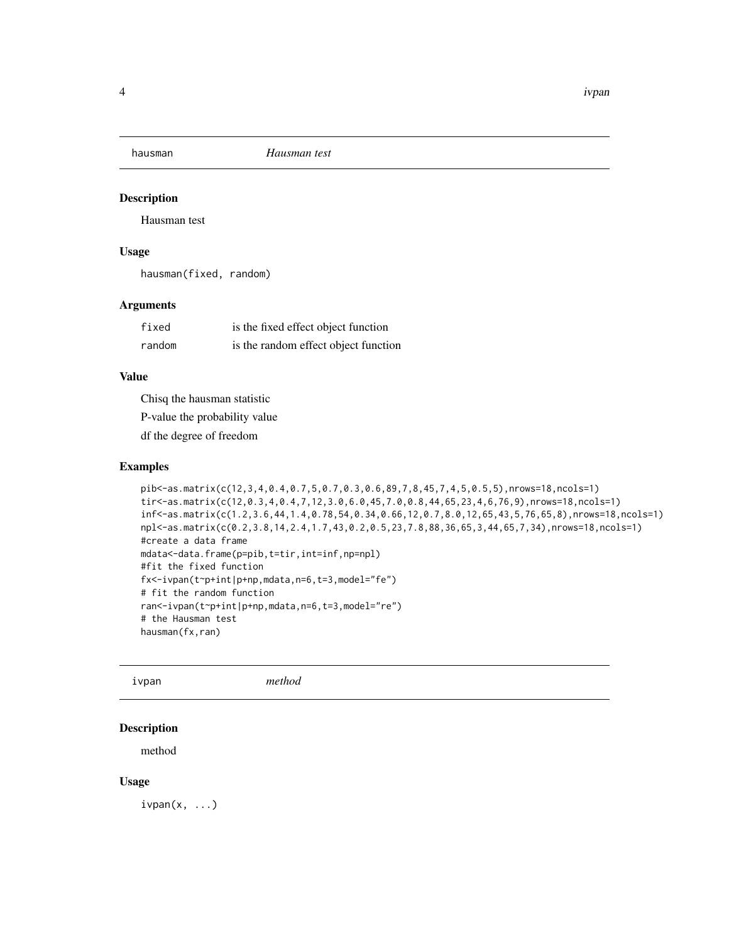<span id="page-3-0"></span>

#### Description

Hausman test

#### Usage

hausman(fixed, random)

#### Arguments

| fixed  | is the fixed effect object function  |
|--------|--------------------------------------|
| random | is the random effect object function |

#### Value

Chisq the hausman statistic

P-value the probability value

df the degree of freedom

#### Examples

```
pib<-as.matrix(c(12,3,4,0.4,0.7,5,0.7,0.3,0.6,89,7,8,45,7,4,5,0.5,5),nrows=18,ncols=1)
tir<-as.matrix(c(12,0.3,4,0.4,7,12,3.0,6.0,45,7.0,0.8,44,65,23,4,6,76,9),nrows=18,ncols=1)
inf<-as.matrix(c(1.2,3.6,44,1.4,0.78,54,0.34,0.66,12,0.7,8.0,12,65,43,5,76,65,8),nrows=18,ncols=1)
npl<-as.matrix(c(0.2,3.8,14,2.4,1.7,43,0.2,0.5,23,7.8,88,36,65,3,44,65,7,34),nrows=18,ncols=1)
#create a data frame
mdata<-data.frame(p=pib,t=tir,int=inf,np=npl)
#fit the fixed function
fx<-ivpan(t~p+int|p+np,mdata,n=6,t=3,model="fe")
# fit the random function
ran<-ivpan(t~p+int|p+np,mdata,n=6,t=3,model="re")
# the Hausman test
hausman(fx,ran)
```
ivpan *method*

#### Description

method

#### Usage

 $i$ vpan $(x, \ldots)$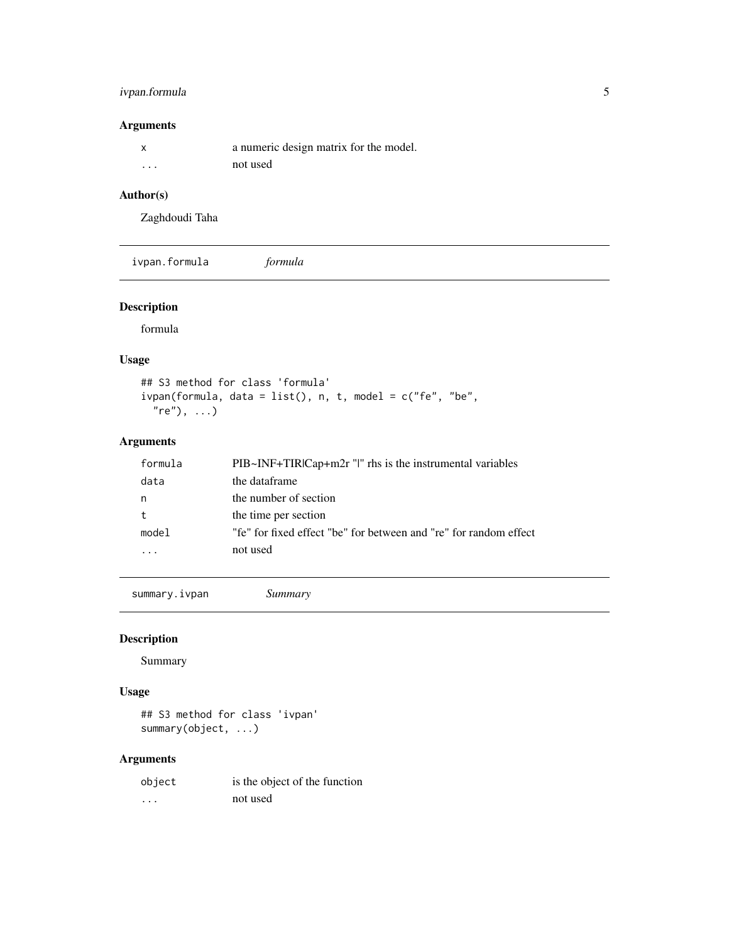#### <span id="page-4-0"></span>ivpan.formula 5

#### Arguments

|          | a numeric design matrix for the model. |
|----------|----------------------------------------|
| $\cdots$ | not used                               |

#### Author(s)

Zaghdoudi Taha

ivpan.formula *formula*

#### Description

formula

#### Usage

```
## S3 method for class 'formula'
ivpan(formula, data = list(), n, t, model = c("fe", "be","re"), ...)
```
#### Arguments

| formula | PIB~INF+TIRICap+m2r " " rhs is the instrumental variables         |
|---------|-------------------------------------------------------------------|
| data    | the dataframe                                                     |
| n       | the number of section                                             |
|         | the time per section                                              |
| model   | "fe" for fixed effect "be" for between and "re" for random effect |
|         | not used                                                          |
|         |                                                                   |

summary.ivpan *Summary*

#### Description

Summary

#### Usage

## S3 method for class 'ivpan' summary(object, ...)

#### Arguments

| object | is the object of the function |
|--------|-------------------------------|
| .      | not used                      |